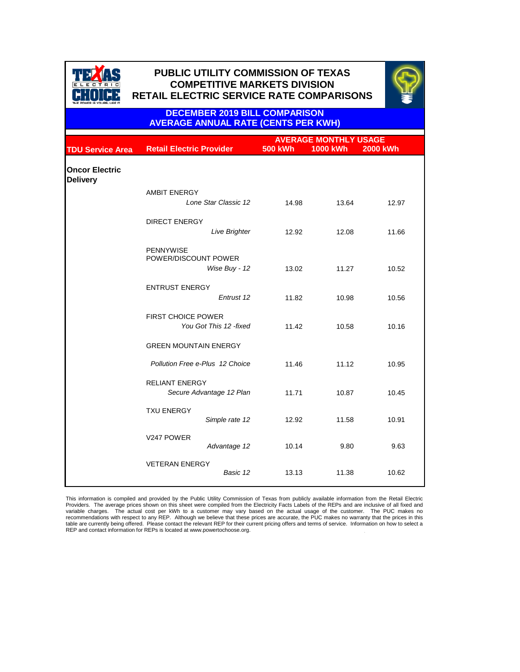

## **PUBLIC UTILITY COMMISSION OF TEXAS PUBLIC UTILITY COMMISSION OF TEXAS COMPETITIVE MARKETS DIVISION COMPETITIVE MARKETS DIVISION RETAIL ELECTRIC SERVICE RATE COMPARISONS RETAIL ELECTRIC SERVICE RATE COMPARISONS**



**DECEMBER 2019 BILL COMPARISON AVERAGE ANNUAL RATE (CENTS PER KWH)**

|                                          |                                                     | <b>AVERAGE MONTHLY USAGE</b> |                 |                 |  |
|------------------------------------------|-----------------------------------------------------|------------------------------|-----------------|-----------------|--|
| <b>TDU Service Area</b>                  | <b>Retail Electric Provider</b>                     | <b>500 kWh</b>               | <b>1000 kWh</b> | <b>2000 kWh</b> |  |
| <b>Oncor Electric</b><br><b>Delivery</b> |                                                     |                              |                 |                 |  |
|                                          | <b>AMBIT ENERGY</b>                                 |                              |                 |                 |  |
|                                          | Lone Star Classic 12                                | 14.98                        | 13.64           | 12.97           |  |
|                                          | <b>DIRECT ENERGY</b>                                |                              |                 |                 |  |
|                                          | <b>Live Brighter</b>                                | 12.92                        | 12.08           | 11.66           |  |
|                                          | <b>PENNYWISE</b><br>POWER/DISCOUNT POWER            |                              |                 |                 |  |
|                                          | Wise Buy - 12                                       | 13.02                        | 11.27           | 10.52           |  |
|                                          | <b>ENTRUST ENERGY</b>                               |                              |                 |                 |  |
|                                          | Entrust 12                                          | 11.82                        | 10.98           | 10.56           |  |
|                                          | <b>FIRST CHOICE POWER</b><br>You Got This 12 -fixed | 11.42                        | 10.58           | 10.16           |  |
|                                          | <b>GREEN MOUNTAIN ENERGY</b>                        |                              |                 |                 |  |
|                                          | Pollution Free e-Plus 12 Choice                     | 11.46                        | 11.12           | 10.95           |  |
|                                          | <b>RELIANT ENERGY</b><br>Secure Advantage 12 Plan   | 11.71                        | 10.87           | 10.45           |  |
|                                          | <b>TXU ENERGY</b><br>Simple rate 12                 | 12.92                        | 11.58           | 10.91           |  |
|                                          | V247 POWER<br>Advantage 12                          | 10.14                        | 9.80            | 9.63            |  |
|                                          | <b>VETERAN ENERGY</b><br>Basic 12                   | 13.13                        | 11.38           | 10.62           |  |

This information is compiled and provided by the Public Utility Commission of Texas from publicly available information from the Retail Electric<br>Providers. The average prices shown on this sheet were compiled from the Ele recommendations with respect to any REP. Although we believe that these prices are accurate, the PUC makes no warranty that the prices in this table are currently being offered. Please contact the relevant REP for their current pricing offers and terms of service. Information on how to select a REP and contact information for REPs is located at www.powertochoose.org.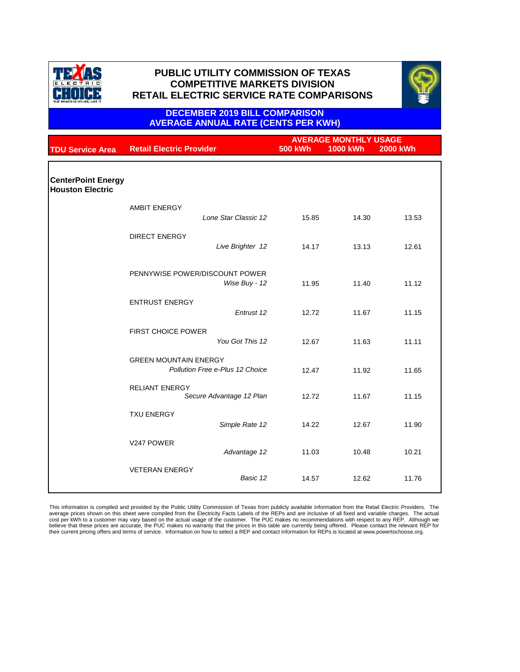



### **DECEMBER 2019 BILL COMPARISON AVERAGE ANNUAL RATE (CENTS PER KWH)**

| <b>TDU Service Area</b>                              | <b>Retail Electric Provider</b>                                 |               | <b>500 kWh</b> | <b>AVERAGE MONTHLY USAGE</b><br><b>1000 kWh</b> | <b>2000 kWh</b> |
|------------------------------------------------------|-----------------------------------------------------------------|---------------|----------------|-------------------------------------------------|-----------------|
| <b>CenterPoint Energy</b><br><b>Houston Electric</b> |                                                                 |               |                |                                                 |                 |
|                                                      | <b>AMBIT ENERGY</b><br>Lone Star Classic 12                     |               | 15.85          | 14.30                                           | 13.53           |
|                                                      | <b>DIRECT ENERGY</b><br>Live Brighter 12                        |               | 14.17          | 13.13                                           | 12.61           |
|                                                      | PENNYWISE POWER/DISCOUNT POWER                                  | Wise Buy - 12 | 11.95          | 11.40                                           | 11.12           |
|                                                      | <b>ENTRUST ENERGY</b>                                           | Entrust 12    | 12.72          | 11.67                                           | 11.15           |
|                                                      | <b>FIRST CHOICE POWER</b><br>You Got This 12                    |               | 12.67          | 11.63                                           | 11.11           |
|                                                      | <b>GREEN MOUNTAIN ENERGY</b><br>Pollution Free e-Plus 12 Choice |               | 12.47          | 11.92                                           | 11.65           |
|                                                      | <b>RELIANT ENERGY</b><br>Secure Advantage 12 Plan               |               | 12.72          | 11.67                                           | 11.15           |
|                                                      | <b>TXU ENERGY</b><br>Simple Rate 12                             |               | 14.22          | 12.67                                           | 11.90           |
|                                                      | V247 POWER                                                      | Advantage 12  | 11.03          | 10.48                                           | 10.21           |
|                                                      | <b>VETERAN ENERGY</b>                                           | Basic 12      | 14.57          | 12.62                                           | 11.76           |

This information is compiled and provided by the Public Utility Commission of Texas from publicly available information from the Retail Electric Providers. The<br>average prices shown on this sheet were compiled from the Ele believe that these prices are accurate, the PUC makes no warranty that the prices in this table are currently being offered. Please contact the relevant REP for their current pricing offers and terms of service. Information on how to select a REP and contact information for REPs is located at www.powertochoose.org.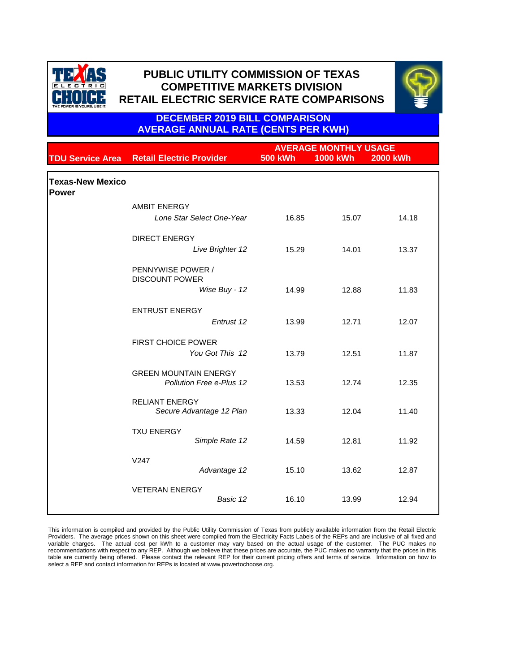



**DECEMBER 2019 BILL COMPARISON AVERAGE ANNUAL RATE (CENTS PER KWH)**

|                                  |                                                             | <b>AVERAGE MONTHLY USAGE</b> |                 |                 |
|----------------------------------|-------------------------------------------------------------|------------------------------|-----------------|-----------------|
| <b>TDU Service Area</b>          | <b>Retail Electric Provider</b>                             | <b>500 kWh</b>               | <b>1000 kWh</b> | <b>2000 kWh</b> |
| <b>Texas-New Mexico</b><br>Power |                                                             |                              |                 |                 |
|                                  | <b>AMBIT ENERGY</b><br>Lone Star Select One-Year            | 16.85                        | 15.07           | 14.18           |
|                                  | <b>DIRECT ENERGY</b><br>Live Brighter 12                    | 15.29                        | 14.01           | 13.37           |
|                                  | PENNYWISE POWER /<br><b>DISCOUNT POWER</b><br>Wise Buy - 12 | 14.99                        | 12.88           | 11.83           |
|                                  | <b>ENTRUST ENERGY</b><br>Entrust 12                         | 13.99                        | 12.71           | 12.07           |
|                                  | <b>FIRST CHOICE POWER</b><br>You Got This 12                | 13.79                        | 12.51           | 11.87           |
|                                  | <b>GREEN MOUNTAIN ENERGY</b><br>Pollution Free e-Plus 12    | 13.53                        | 12.74           | 12.35           |
|                                  | <b>RELIANT ENERGY</b><br>Secure Advantage 12 Plan           | 13.33                        | 12.04           | 11.40           |
|                                  | <b>TXU ENERGY</b><br>Simple Rate 12                         | 14.59                        | 12.81           | 11.92           |
|                                  | V <sub>247</sub><br>Advantage 12                            | 15.10                        | 13.62           | 12.87           |
|                                  | <b>VETERAN ENERGY</b><br>Basic 12                           | 16.10                        | 13.99           | 12.94           |

This information is compiled and provided by the Public Utility Commission of Texas from publicly available information from the Retail Electric Providers. The average prices shown on this sheet were compiled from the Electricity Facts Labels of the REPs and are inclusive of all fixed and variable charges. The actual cost per kWh to a customer may vary based on the actual usage of the customer. The PUC makes no recommendations with respect to any REP. Although we believe that these prices are accurate, the PUC makes no warranty that the prices in this table are currently being offered. Please contact the relevant REP for their current pricing offers and terms of service. Information on how to select a REP and contact information for REPs is located at www.powertochoose.org.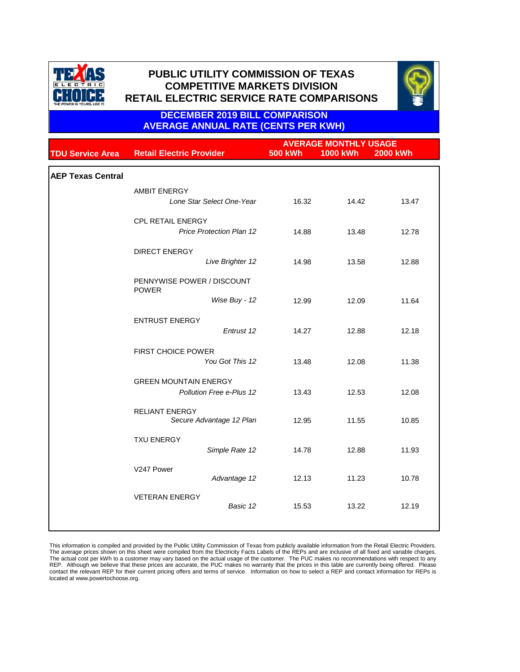



**DECEMBER 2019 BILL COMPARISON AVERAGE ANNUAL RATE (CENTS PER KWH)**

|                          |                                                             | <b>AVERAGE MONTHLY USAGE</b> |                 |                 |
|--------------------------|-------------------------------------------------------------|------------------------------|-----------------|-----------------|
| <b>TDU Service Area</b>  | <b>Retail Electric Provider</b>                             | <b>500 kWh</b>               | <b>1000 kWh</b> | <b>2000 kWh</b> |
| <b>AEP Texas Central</b> |                                                             |                              |                 |                 |
|                          | <b>AMBIT ENERGY</b><br>Lone Star Select One-Year            | 16.32                        | 14.42           | 13.47           |
|                          | <b>CPL RETAIL ENERGY</b><br><b>Price Protection Plan 12</b> | 14.88                        | 13.48           | 12.78           |
|                          | <b>DIRECT ENERGY</b><br>Live Brighter 12                    | 14.98                        | 13.58           | 12.88           |
|                          | PENNYWISE POWER / DISCOUNT                                  |                              |                 |                 |
|                          | <b>POWER</b><br>Wise Buy - 12                               | 12.99                        | 12.09           | 11.64           |
|                          | <b>ENTRUST ENERGY</b><br>Entrust 12                         | 14.27                        | 12.88           | 12.18           |
|                          | <b>FIRST CHOICE POWER</b><br>You Got This 12                | 13.48                        | 12.08           | 11.38           |
|                          | <b>GREEN MOUNTAIN ENERGY</b><br>Pollution Free e-Plus 12    | 13.43                        | 12.53           | 12.08           |
|                          | <b>RELIANT ENERGY</b><br>Secure Advantage 12 Plan           | 12.95                        | 11.55           | 10.85           |
|                          | <b>TXU ENERGY</b><br>Simple Rate 12                         | 14.78                        | 12.88           | 11.93           |
|                          | V247 Power<br>Advantage 12                                  | 12.13                        | 11.23           | 10.78           |
|                          | <b>VETERAN ENERGY</b><br>Basic 12                           | 15.53                        | 13.22           | 12.19           |
|                          |                                                             |                              |                 |                 |

This information is compiled and provided by the Public Utility Commission of Texas from publicly available information from the Retail Electric Providers.<br>The average prices shown on this sheet were compiled from the Elec located at www.powertochoose.org.